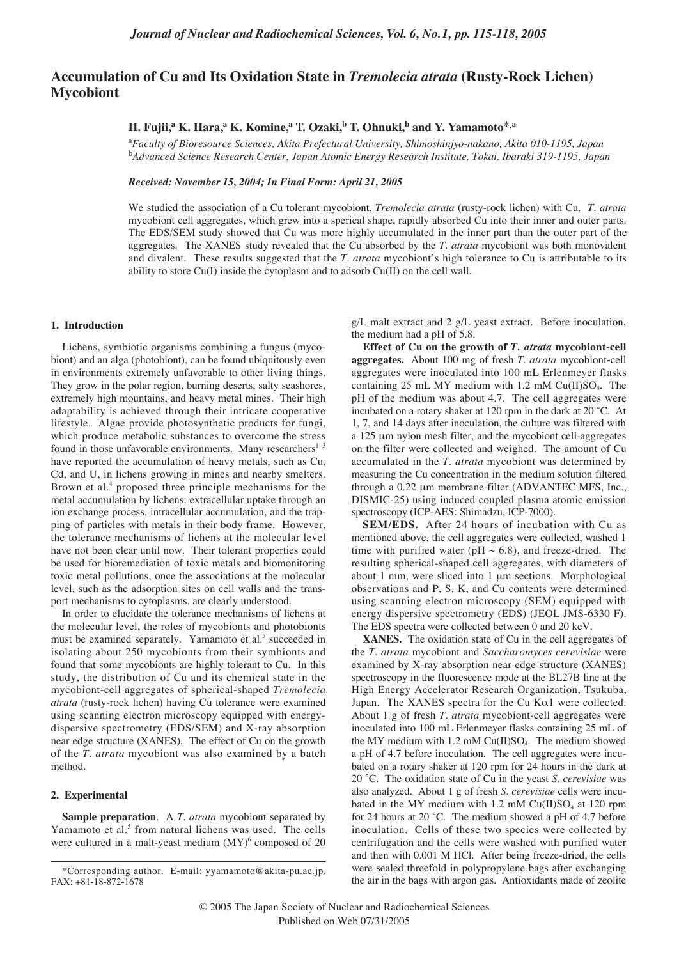# **Accumulation of Cu and Its Oxidation State in** *Tremolecia atrata* **(Rusty-Rock Lichen) Mycobiont**

## **H. Fujii,<sup>a</sup> K. Hara,<sup>a</sup> K. Komine,<sup>a</sup> T. Ozaki,<sup>b</sup> T. Ohnuki,<sup>b</sup> and Y. Yamamoto<sup>\*,a</sup>**

a *Faculty of Bioresource Sciences, Akita Prefectural University, Shimoshinjyo-nakano, Akita 010-1195, Japan* b *Advanced Science Research Center, Japan Atomic Energy Research Institute, Tokai, Ibaraki 319-1195, Japan*

*Received: November 15, 2004; In Final Form: April 21, 2005*

We studied the association of a Cu tolerant mycobiont, *Tremolecia atrata* (rusty-rock lichen) with Cu. *T*. *atrata* mycobiont cell aggregates, which grew into a sperical shape, rapidly absorbed Cu into their inner and outer parts. The EDS/SEM study showed that Cu was more highly accumulated in the inner part than the outer part of the aggregates. The XANES study revealed that the Cu absorbed by the *T*. *atrata* mycobiont was both monovalent and divalent. These results suggested that the *T*. *atrata* mycobiont's high tolerance to Cu is attributable to its ability to store Cu(I) inside the cytoplasm and to adsorb Cu(II) on the cell wall.

### **1. Introduction**

Lichens, symbiotic organisms combining a fungus (mycobiont) and an alga (photobiont), can be found ubiquitously even in environments extremely unfavorable to other living things. They grow in the polar region, burning deserts, salty seashores, extremely high mountains, and heavy metal mines. Their high adaptability is achieved through their intricate cooperative lifestyle. Algae provide photosynthetic products for fungi, which produce metabolic substances to overcome the stress found in those unfavorable environments. Many researchers<sup>1-3</sup> have reported the accumulation of heavy metals, such as Cu, Cd, and U, in lichens growing in mines and nearby smelters. Brown et al.<sup>4</sup> proposed three principle mechanisms for the metal accumulation by lichens: extracellular uptake through an ion exchange process, intracellular accumulation, and the trapping of particles with metals in their body frame. However, the tolerance mechanisms of lichens at the molecular level have not been clear until now. Their tolerant properties could be used for bioremediation of toxic metals and biomonitoring toxic metal pollutions, once the associations at the molecular level, such as the adsorption sites on cell walls and the transport mechanisms to cytoplasms, are clearly understood.

In order to elucidate the tolerance mechanisms of lichens at the molecular level, the roles of mycobionts and photobionts must be examined separately. Yamamoto et al.<sup>5</sup> succeeded in isolating about 250 mycobionts from their symbionts and found that some mycobionts are highly tolerant to Cu. In this study, the distribution of Cu and its chemical state in the mycobiont-cell aggregates of spherical-shaped *Tremolecia atrata* (rusty-rock lichen) having Cu tolerance were examined using scanning electron microscopy equipped with energydispersive spectrometry (EDS/SEM) and X-ray absorption near edge structure (XANES). The effect of Cu on the growth of the *T*. *atrata* mycobiont was also examined by a batch method.

# **2. Experimental**

**Sample preparation**. A *T. atrata* mycobiont separated by Yamamoto et al.<sup>5</sup> from natural lichens was used. The cells were cultured in a malt-yeast medium  $(MY)^6$  composed of 20 g/L malt extract and 2 g/L yeast extract. Before inoculation, the medium had a pH of 5.8.

**Effect of Cu on the growth of** *T. atrata* **mycobiont-cell aggregates.** About 100 mg of fresh *T. atrata* mycobiont**-**cell aggregates were inoculated into 100 mL Erlenmeyer flasks containing 25 mL MY medium with 1.2 mM Cu(II)SO4. The pH of the medium was about 4.7. The cell aggregates were incubated on a rotary shaker at 120 rpm in the dark at 20 ˚C. At 1, 7, and 14 days after inoculation, the culture was filtered with a 125 µm nylon mesh filter, and the mycobiont cell-aggregates on the filter were collected and weighed. The amount of Cu accumulated in the *T*. *atrata* mycobiont was determined by measuring the Cu concentration in the medium solution filtered through a 0.22 µm membrane filter (ADVANTEC MFS, Inc., DISMIC-25) using induced coupled plasma atomic emission spectroscopy (ICP-AES: Shimadzu, ICP-7000).

**SEM/EDS.** After 24 hours of incubation with Cu as mentioned above, the cell aggregates were collected, washed 1 time with purified water (pH  $\sim$  6.8), and freeze-dried. The resulting spherical-shaped cell aggregates, with diameters of about 1 mm, were sliced into 1 µm sections. Morphological observations and P, S, K, and Cu contents were determined using scanning electron microscopy (SEM) equipped with energy dispersive spectrometry (EDS) (JEOL JMS-6330 F). The EDS spectra were collected between 0 and 20 keV.

**XANES.** The oxidation state of Cu in the cell aggregates of the *T*. *atrata* mycobiont and *Saccharomyces cerevisiae* were examined by X-ray absorption near edge structure (XANES) spectroscopy in the fluorescence mode at the BL27B line at the High Energy Accelerator Research Organization, Tsukuba, Japan. The XANES spectra for the Cu K $\alpha$ 1 were collected. About 1 g of fresh *T*. *atrata* mycobiont-cell aggregates were inoculated into 100 mL Erlenmeyer flasks containing 25 mL of the MY medium with  $1.2 \text{ mM Cu(II)SO}_4$ . The medium showed a pH of 4.7 before inoculation. The cell aggregates were incubated on a rotary shaker at 120 rpm for 24 hours in the dark at 20 ˚C. The oxidation state of Cu in the yeast *S*. *cerevisiae* was also analyzed. About 1 g of fresh *S*. *cerevisiae* cells were incubated in the MY medium with 1.2 mM  $Cu(II)SO<sub>4</sub>$  at 120 rpm for 24 hours at 20 ˚C. The medium showed a pH of 4.7 before inoculation. Cells of these two species were collected by centrifugation and the cells were washed with purified water and then with 0.001 M HCl. After being freeze-dried, the cells were sealed threefold in polypropylene bags after exchanging the air in the bags with argon gas. Antioxidants made of zeolite

<sup>\*</sup>Corresponding author. E-mail: yyamamoto@akita-pu.ac.jp. FAX: +81-18-872-1678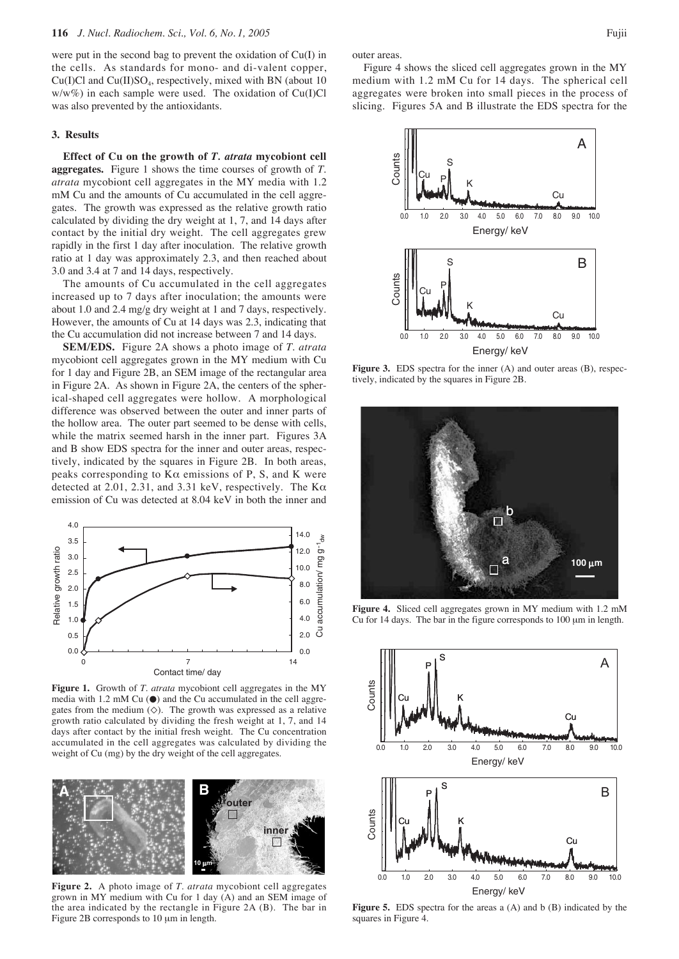were put in the second bag to prevent the oxidation of Cu(I) in the cells. As standards for mono- and di-valent copper,  $Cu(I)Cl$  and  $Cu(II)SO<sub>4</sub>$ , respectively, mixed with BN (about 10)  $w/w\%$ ) in each sample were used. The oxidation of Cu(I)Cl was also prevented by the antioxidants.

### **3. Results**

**Effect of Cu on the growth of** *T. atrata* **mycobiont cell aggregates.** Figure 1 shows the time courses of growth of *T*. *atrata* mycobiont cell aggregates in the MY media with 1.2 mM Cu and the amounts of Cu accumulated in the cell aggregates. The growth was expressed as the relative growth ratio calculated by dividing the dry weight at 1, 7, and 14 days after contact by the initial dry weight. The cell aggregates grew rapidly in the first 1 day after inoculation. The relative growth ratio at 1 day was approximately 2.3, and then reached about 3.0 and 3.4 at 7 and 14 days, respectively.

The amounts of Cu accumulated in the cell aggregates increased up to 7 days after inoculation; the amounts were about 1.0 and 2.4 mg/g dry weight at 1 and 7 days, respectively. However, the amounts of Cu at 14 days was 2.3, indicating that the Cu accumulation did not increase between 7 and 14 days.

**SEM/EDS.** Figure 2A shows a photo image of *T*. *atrata* mycobiont cell aggregates grown in the MY medium with Cu for 1 day and Figure 2B, an SEM image of the rectangular area in Figure 2A. As shown in Figure 2A, the centers of the spherical-shaped cell aggregates were hollow. A morphological difference was observed between the outer and inner parts of the hollow area. The outer part seemed to be dense with cells, while the matrix seemed harsh in the inner part. Figures 3A and B show EDS spectra for the inner and outer areas, respectively, indicated by the squares in Figure 2B. In both areas, peaks corresponding to  $K\alpha$  emissions of P, S, and K were detected at 2.01, 2.31, and 3.31 keV, respectively. The Kα emission of Cu was detected at 8.04 keV in both the inner and



**Figure 1.** Growth of *T*. *atrata* mycobiont cell aggregates in the MY media with 1.2 mM Cu  $\odot$  and the Cu accumulated in the cell aggregates from the medium  $(\diamondsuit)$ . The growth was expressed as a relative growth ratio calculated by dividing the fresh weight at 1, 7, and 14 days after contact by the initial fresh weight. The Cu concentration accumulated in the cell aggregates was calculated by dividing the weight of Cu (mg) by the dry weight of the cell aggregates.



**Figure 2.** A photo image of *T*. *atrata* mycobiont cell aggregates grown in MY medium with Cu for 1 day (A) and an SEM image of the area indicated by the rectangle in Figure 2A (B). The bar in Figure 2B corresponds to 10  $\mu$ m in length.

outer areas.

Figure 4 shows the sliced cell aggregates grown in the MY medium with 1.2 mM Cu for 14 days. The spherical cell aggregates were broken into small pieces in the process of slicing. Figures 5A and B illustrate the EDS spectra for the



**Figure 3.** EDS spectra for the inner (A) and outer areas (B), respectively, indicated by the squares in Figure 2B.



**Figure 4.** Sliced cell aggregates grown in MY medium with 1.2 mM Cu for 14 days. The bar in the figure corresponds to 100 µm in length.



**Figure 5.** EDS spectra for the areas a (A) and b (B) indicated by the squares in Figure 4.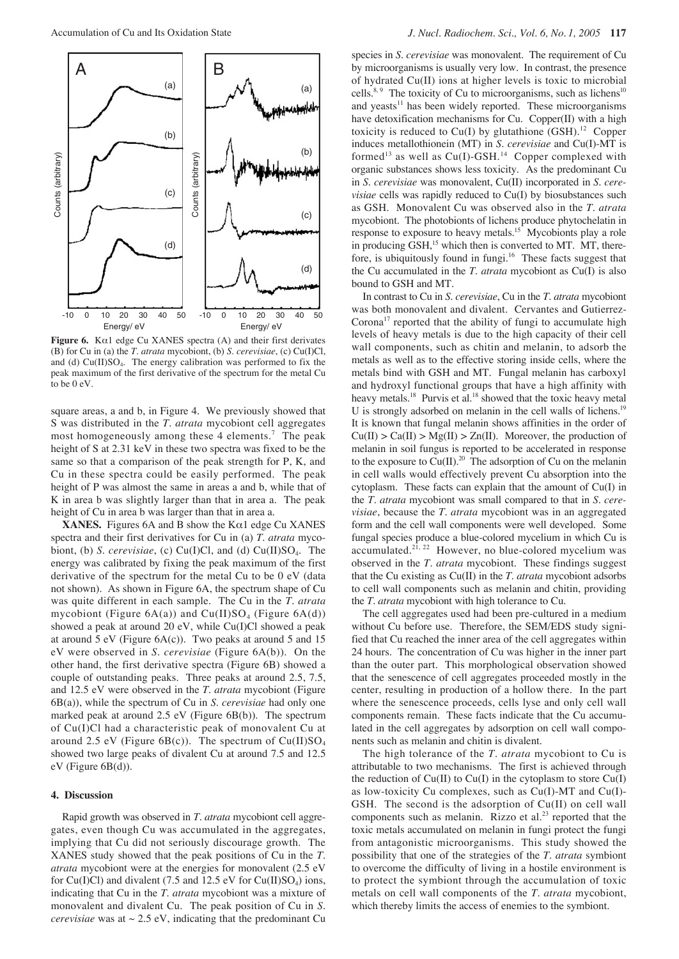

**Figure 6.** K $\alpha$ 1 edge Cu XANES spectra (A) and their first derivates (B) for Cu in (a) the *T*. *atrata* mycobiont, (b) *S*. *cerevisiae*, (c) Cu(I)Cl, and (d) Cu(II)SO<sub>4</sub>. The energy calibration was performed to fix the peak maximum of the first derivative of the spectrum for the metal Cu to be 0 eV.

square areas, a and b, in Figure 4. We previously showed that S was distributed in the *T. atrata* mycobiont cell aggregates most homogeneously among these 4 elements.<sup>7</sup> The peak height of S at 2.31 keV in these two spectra was fixed to be the same so that a comparison of the peak strength for P, K, and Cu in these spectra could be easily performed. The peak height of P was almost the same in areas a and b, while that of K in area b was slightly larger than that in area a. The peak height of Cu in area b was larger than that in area a.

**XANES.** Figures 6A and B show the K $\alpha$ 1 edge Cu XANES spectra and their first derivatives for Cu in (a) *T*. *atrata* mycobiont, (b) *S*. *cerevisiae*, (c) Cu(I)Cl, and (d) Cu(II)SO4. The energy was calibrated by fixing the peak maximum of the first derivative of the spectrum for the metal Cu to be 0 eV (data not shown). As shown in Figure 6A, the spectrum shape of Cu was quite different in each sample. The Cu in the *T*. *atrata* mycobiont (Figure  $6A(a)$ ) and Cu(II)SO<sub>4</sub> (Figure  $6A(d)$ ) showed a peak at around 20 eV, while Cu(I)Cl showed a peak at around 5 eV (Figure 6A(c)). Two peaks at around 5 and 15 eV were observed in *S*. *cerevisiae* (Figure 6A(b)). On the other hand, the first derivative spectra (Figure 6B) showed a couple of outstanding peaks. Three peaks at around 2.5, 7.5, and 12.5 eV were observed in the *T*. *atrata* mycobiont (Figure 6B(a)), while the spectrum of Cu in *S*. *cerevisiae* had only one marked peak at around 2.5 eV (Figure 6B(b)). The spectrum of Cu(I)Cl had a characteristic peak of monovalent Cu at around 2.5 eV (Figure 6B(c)). The spectrum of  $Cu(II)SO<sub>4</sub>$ showed two large peaks of divalent Cu at around 7.5 and 12.5 eV (Figure 6B(d)).

#### **4. Discussion**

Rapid growth was observed in *T*. *atrata* mycobiont cell aggregates, even though Cu was accumulated in the aggregates, implying that Cu did not seriously discourage growth. The XANES study showed that the peak positions of Cu in the *T*. *atrata* mycobiont were at the energies for monovalent (2.5 eV for Cu(I)Cl) and divalent (7.5 and 12.5 eV for Cu(II)SO<sub>4</sub>) ions, indicating that Cu in the *T*. *atrata* mycobiont was a mixture of monovalent and divalent Cu. The peak position of Cu in *S*. *cerevisiae* was at  $\sim 2.5$  eV, indicating that the predominant Cu

species in *S*. *cerevisiae* was monovalent. The requirement of Cu by microorganisms is usually very low. In contrast, the presence of hydrated Cu(II) ions at higher levels is toxic to microbial cells.<sup>8, 9</sup> The toxicity of Cu to microorganisms, such as lichens<sup>10</sup> and yeasts<sup>11</sup> has been widely reported. These microorganisms have detoxification mechanisms for Cu. Copper(II) with a high toxicity is reduced to Cu(I) by glutathione  $(GSH)$ .<sup>12</sup> Copper induces metallothionein (MT) in *S*. *cerevisiae* and Cu(I)-MT is formed<sup>13</sup> as well as  $Cu(I)-GSH$ <sup>14</sup> Copper complexed with organic substances shows less toxicity. As the predominant Cu in *S*. *cerevisiae* was monovalent, Cu(II) incorporated in *S*. *cerevisiae* cells was rapidly reduced to Cu(I) by biosubstances such as GSH. Monovalent Cu was observed also in the *T*. *atrata* mycobiont. The photobionts of lichens produce phytochelatin in response to exposure to heavy metals.<sup>15</sup> Mycobionts play a role in producing  $GSH$ ,<sup>15</sup> which then is converted to MT. MT, therefore, is ubiquitously found in fungi.<sup>16</sup> These facts suggest that the Cu accumulated in the *T*. *atrata* mycobiont as Cu(I) is also bound to GSH and MT.

In contrast to Cu in *S*. *cerevisiae*, Cu in the *T*. *atrata* mycobiont was both monovalent and divalent. Cervantes and Gutierrez-Corona<sup>17</sup> reported that the ability of fungi to accumulate high levels of heavy metals is due to the high capacity of their cell wall components, such as chitin and melanin, to adsorb the metals as well as to the effective storing inside cells, where the metals bind with GSH and MT. Fungal melanin has carboxyl and hydroxyl functional groups that have a high affinity with heavy metals.<sup>18</sup> Purvis et al.<sup>18</sup> showed that the toxic heavy metal U is strongly adsorbed on melanin in the cell walls of lichens.<sup>19</sup> It is known that fungal melanin shows affinities in the order of  $Cu(II) > Ca(II) > Mg(II) > Zn(II)$ . Moreover, the production of melanin in soil fungus is reported to be accelerated in response to the exposure to  $Cu(II).^{20}$  The adsorption of Cu on the melanin in cell walls would effectively prevent Cu absorption into the cytoplasm. These facts can explain that the amount of Cu(I) in the *T*. *atrata* mycobiont was small compared to that in *S*. *cerevisiae*, because the *T*. *atrata* mycobiont was in an aggregated form and the cell wall components were well developed. Some fungal species produce a blue-colored mycelium in which Cu is accumulated.<sup>21, 22</sup> However, no blue-colored mycelium was observed in the *T*. *atrata* mycobiont. These findings suggest that the Cu existing as Cu(II) in the *T*. *atrata* mycobiont adsorbs to cell wall components such as melanin and chitin, providing the *T*. *atrata* mycobiont with high tolerance to Cu.

The cell aggregates used had been pre-cultured in a medium without Cu before use. Therefore, the SEM/EDS study signified that Cu reached the inner area of the cell aggregates within 24 hours. The concentration of Cu was higher in the inner part than the outer part. This morphological observation showed that the senescence of cell aggregates proceeded mostly in the center, resulting in production of a hollow there. In the part where the senescence proceeds, cells lyse and only cell wall components remain. These facts indicate that the Cu accumulated in the cell aggregates by adsorption on cell wall components such as melanin and chitin is divalent.

The high tolerance of the *T*. *atrata* mycobiont to Cu is attributable to two mechanisms. The first is achieved through the reduction of  $Cu(II)$  to  $Cu(I)$  in the cytoplasm to store  $Cu(I)$ as low-toxicity Cu complexes, such as Cu(I)-MT and Cu(I)- GSH. The second is the adsorption of Cu(II) on cell wall components such as melanin. Rizzo et al.<sup>23</sup> reported that the toxic metals accumulated on melanin in fungi protect the fungi from antagonistic microorganisms. This study showed the possibility that one of the strategies of the *T*. *atrata* symbiont to overcome the difficulty of living in a hostile environment is to protect the symbiont through the accumulation of toxic metals on cell wall components of the *T*. *atrata* mycobiont, which thereby limits the access of enemies to the symbiont.